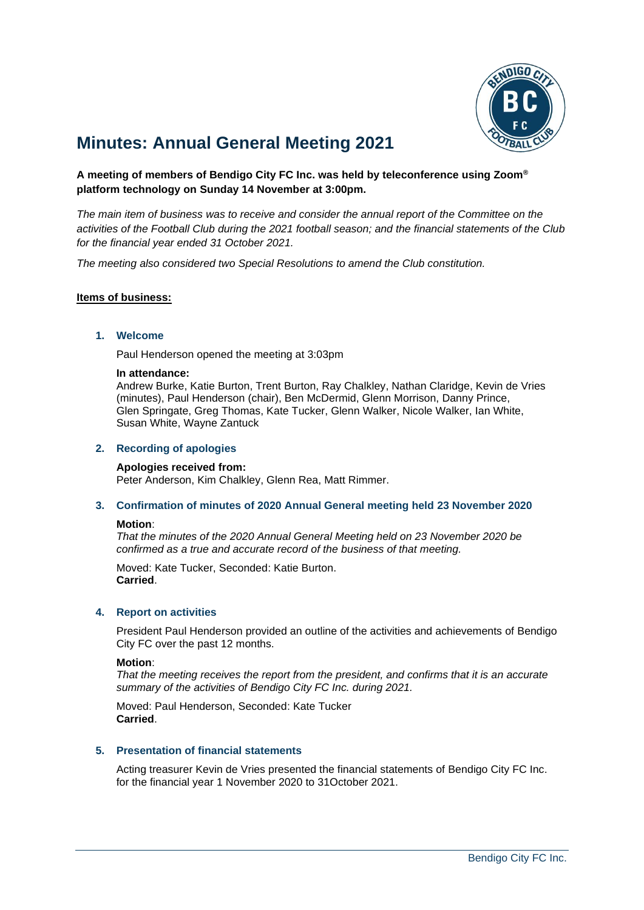

# **Minutes: Annual General Meeting 2021**

## **A meeting of members of Bendigo City FC Inc. was held by teleconference using Zoom® platform technology on Sunday 14 November at 3:00pm.**

*The main item of business was to receive and consider the annual report of the Committee on the activities of the Football Club during the 2021 football season; and the financial statements of the Club for the financial year ended 31 October 2021.*

*The meeting also considered two Special Resolutions to amend the Club constitution.*

## **Items of business:**

#### **1. Welcome**

Paul Henderson opened the meeting at 3:03pm

#### **In attendance:**

Andrew Burke, Katie Burton, Trent Burton, Ray Chalkley, Nathan Claridge, Kevin de Vries (minutes), Paul Henderson (chair), Ben McDermid, Glenn Morrison, Danny Prince, Glen Springate, Greg Thomas, Kate Tucker, Glenn Walker, Nicole Walker, Ian White, Susan White, Wayne Zantuck

#### **2. Recording of apologies**

#### **Apologies received from:**

Peter Anderson, Kim Chalkley, Glenn Rea, Matt Rimmer.

**3. Confirmation of minutes of 2020 Annual General meeting held 23 November 2020**

#### **Motion**:

*That the minutes of the 2020 Annual General Meeting held on 23 November 2020 be confirmed as a true and accurate record of the business of that meeting.*

Moved: Kate Tucker, Seconded: Katie Burton. **Carried**.

#### **4. Report on activities**

President Paul Henderson provided an outline of the activities and achievements of Bendigo City FC over the past 12 months.

#### **Motion**:

*That the meeting receives the report from the president, and confirms that it is an accurate summary of the activities of Bendigo City FC Inc. during 2021.*

Moved: Paul Henderson, Seconded: Kate Tucker **Carried**.

#### **5. Presentation of financial statements**

Acting treasurer Kevin de Vries presented the financial statements of Bendigo City FC Inc. for the financial year 1 November 2020 to 31October 2021.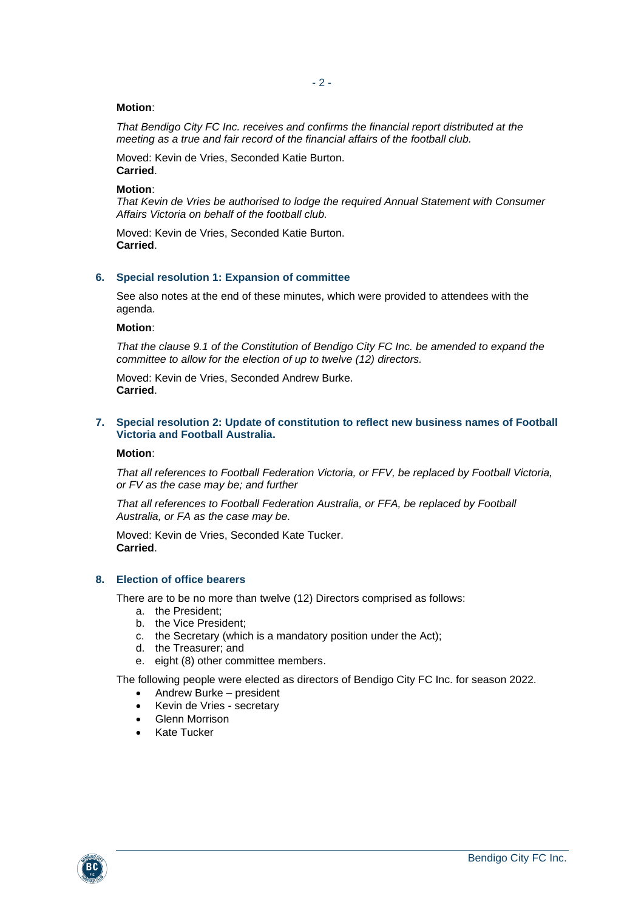#### **Motion**:

*That Bendigo City FC Inc. receives and confirms the financial report distributed at the meeting as a true and fair record of the financial affairs of the football club.*

Moved: Kevin de Vries, Seconded Katie Burton. **Carried**.

#### **Motion**:

*That Kevin de Vries be authorised to lodge the required Annual Statement with Consumer Affairs Victoria on behalf of the football club.*

Moved: Kevin de Vries, Seconded Katie Burton. **Carried**.

#### **6. Special resolution 1: Expansion of committee**

See also notes at the end of these minutes, which were provided to attendees with the agenda.

#### **Motion**:

*That the clause 9.1 of the Constitution of Bendigo City FC Inc. be amended to expand the committee to allow for the election of up to twelve (12) directors.*

Moved: Kevin de Vries, Seconded Andrew Burke. **Carried**.

#### **7. Special resolution 2: Update of constitution to reflect new business names of Football Victoria and Football Australia.**

**Motion**:

*That all references to Football Federation Victoria, or FFV, be replaced by Football Victoria, or FV as the case may be; and further*

*That all references to Football Federation Australia, or FFA, be replaced by Football Australia, or FA as the case may be.*

Moved: Kevin de Vries, Seconded Kate Tucker. **Carried**.

#### **8. Election of office bearers**

There are to be no more than twelve (12) Directors comprised as follows:

- a. the President;
- b. the Vice President;
- c. the Secretary (which is a mandatory position under the Act);
- d. the Treasurer; and
- e. eight (8) other committee members.

The following people were elected as directors of Bendigo City FC Inc. for season 2022.

- Andrew Burke president
- Kevin de Vries secretary
- Glenn Morrison
- Kate Tucker

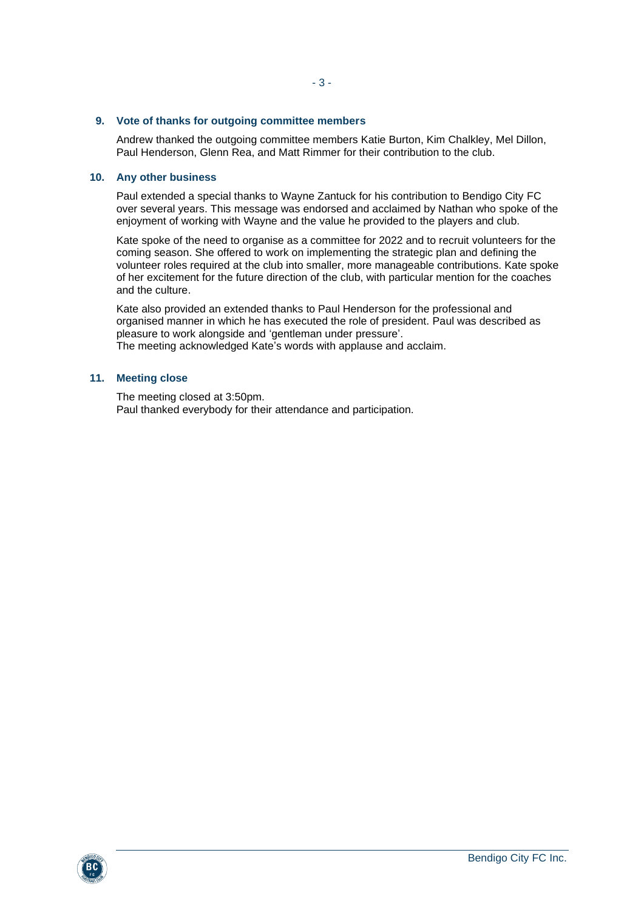#### **9. Vote of thanks for outgoing committee members**

Andrew thanked the outgoing committee members Katie Burton, Kim Chalkley, Mel Dillon, Paul Henderson, Glenn Rea, and Matt Rimmer for their contribution to the club.

## **10. Any other business**

Paul extended a special thanks to Wayne Zantuck for his contribution to Bendigo City FC over several years. This message was endorsed and acclaimed by Nathan who spoke of the enjoyment of working with Wayne and the value he provided to the players and club.

Kate spoke of the need to organise as a committee for 2022 and to recruit volunteers for the coming season. She offered to work on implementing the strategic plan and defining the volunteer roles required at the club into smaller, more manageable contributions. Kate spoke of her excitement for the future direction of the club, with particular mention for the coaches and the culture.

Kate also provided an extended thanks to Paul Henderson for the professional and organised manner in which he has executed the role of president. Paul was described as pleasure to work alongside and 'gentleman under pressure'. The meeting acknowledged Kate's words with applause and acclaim.

#### **11. Meeting close**

The meeting closed at 3:50pm. Paul thanked everybody for their attendance and participation.